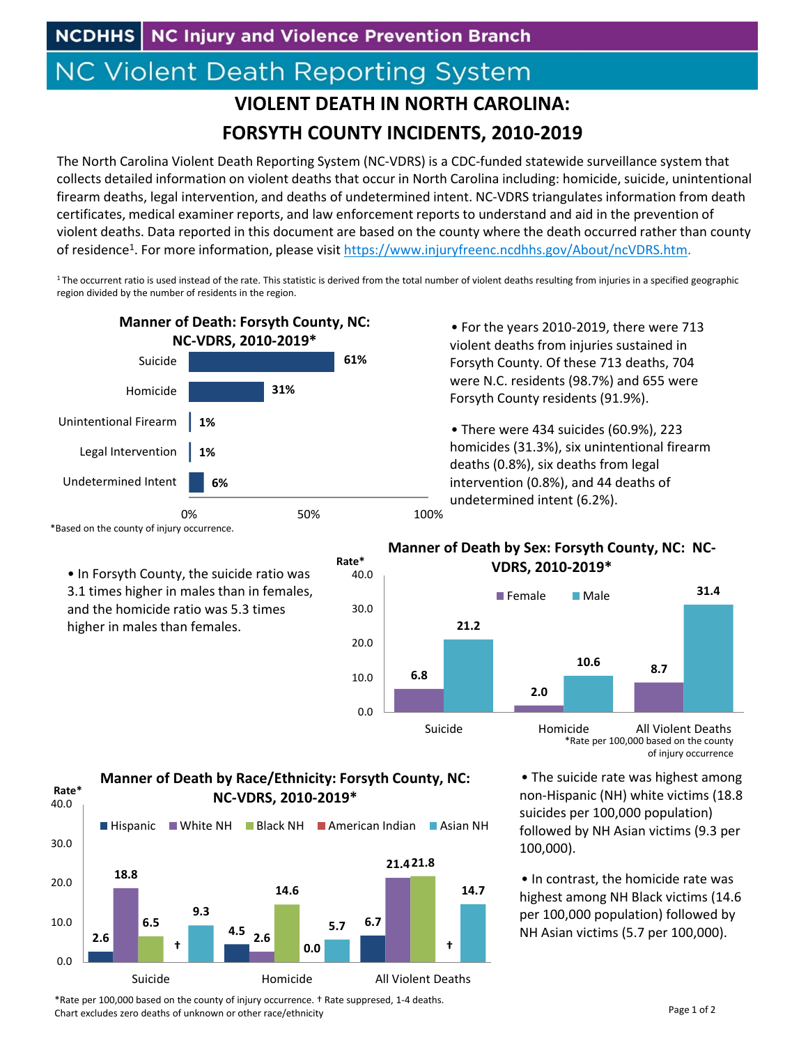## **NC Violent Death Reporting System**

## **VIOLENT DEATH IN NORTH CAROLINA: FORSYTH COUNTY INCIDENTS, 2010‐2019**

The North Carolina Violent Death Reporting System (NC‐VDRS) is a CDC‐funded statewide surveillance system that collects detailed information on violent deaths that occur in North Carolina including: homicide, suicide, unintentional firearm deaths, legal intervention, and deaths of undetermined intent. NC‐VDRS triangulates information from death certificates, medical examiner reports, and law enforcement reports to understand and aid in the prevention of violent deaths. Data reported in this document are based on the county where the death occurred rather than county of residence1. For more information, please visit https://www.injuryfreenc.ncdhhs.gov/About/ncVDRS.htm.

<sup>1</sup> The occurrent ratio is used instead of the rate. This statistic is derived from the total number of violent deaths resulting from injuries in a specified geographic region divided by the number of residents in the region.

40.0

**Rate\***



• For the years 2010‐2019, there were 713 violent deaths from injuries sustained in Forsyth County. Of these 713 deaths, 704 were N.C. residents (98.7%) and 655 were Forsyth County residents (91.9%).

• There were 434 suicides (60.9%), 223 homicides (31.3%), six unintentional firearm deaths (0.8%), six deaths from legal intervention (0.8%), and 44 deaths of undetermined intent (6.2%).

## **Manner of Death by Sex: Forsyth County, NC: NC‐ VDRS, 2010‐2019\***



\*Rate per 100,000 based on the county of injury occurrence

• The suicide rate was highest among non‐Hispanic (NH) white victims (18.8 suicides per 100,000 population) followed by NH Asian victims (9.3 per 100,000).

• In contrast, the homicide rate was highest among NH Black victims (14.6 per 100,000 population) followed by NH Asian victims (5.7 per 100,000).



0.0

• In Forsyth County, the suicide ratio was 3.1 times higher in males than in females, and the homicide ratio was 5.3 times higher in males than females.



Suicide **Homicide** All Violent Deaths

**Manner of Death by Race/Ethnicity: Forsyth County, NC:**

\*Rate per 100,000 based on the county of injury occurrence. † Rate suppresed, 1‐4 deaths. Chart excludes zero deaths of unknown or other race/ethnicity